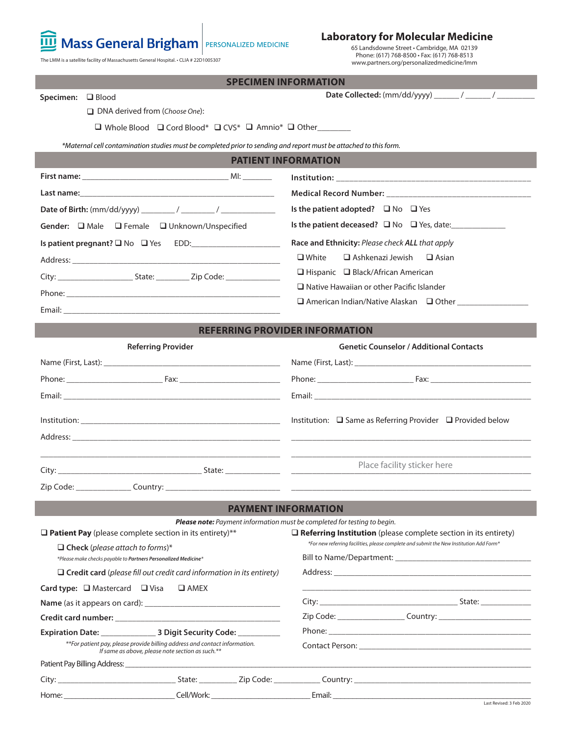

### **Laboratory for Molecular Medicine**

65 Landsdowne Street • Cambridge, MA 02139 Phone: (617) 768-8500 • Fax: (617) 768-8513 www.partners.org/personalizedmedicine/lmm

The LMM is a satellite facility of Massachusetts General Hospital. • CLIA # 22D1005307

|                                                                                                                                | <b>SPECIMEN INFORMATION</b>                                                                                                                                                                                                    |  |  |  |  |
|--------------------------------------------------------------------------------------------------------------------------------|--------------------------------------------------------------------------------------------------------------------------------------------------------------------------------------------------------------------------------|--|--|--|--|
| Specimen: <b>Q</b> Blood                                                                                                       |                                                                                                                                                                                                                                |  |  |  |  |
| $\Box$ DNA derived from (Choose One):                                                                                          |                                                                                                                                                                                                                                |  |  |  |  |
| $\Box$ Whole Blood $\Box$ Cord Blood* $\Box$ CVS* $\Box$ Amnio* $\Box$ Other_______                                            |                                                                                                                                                                                                                                |  |  |  |  |
| *Maternal cell contamination studies must be completed prior to sending and report must be attached to this form.              |                                                                                                                                                                                                                                |  |  |  |  |
|                                                                                                                                | <b>PATIENT INFORMATION</b>                                                                                                                                                                                                     |  |  |  |  |
|                                                                                                                                |                                                                                                                                                                                                                                |  |  |  |  |
|                                                                                                                                |                                                                                                                                                                                                                                |  |  |  |  |
|                                                                                                                                | Is the patient adopted? $\Box$ No $\Box$ Yes                                                                                                                                                                                   |  |  |  |  |
| Gender: □ Male □ Female □ Unknown/Unspecified                                                                                  |                                                                                                                                                                                                                                |  |  |  |  |
|                                                                                                                                | Race and Ethnicity: Please check ALL that apply                                                                                                                                                                                |  |  |  |  |
|                                                                                                                                | Ashkenazi Jewish<br>$\Box$ White<br>$\Box$ Asian                                                                                                                                                                               |  |  |  |  |
|                                                                                                                                | $\Box$ Hispanic $\Box$ Black/African American                                                                                                                                                                                  |  |  |  |  |
|                                                                                                                                | $\Box$ Native Hawaiian or other Pacific Islander                                                                                                                                                                               |  |  |  |  |
|                                                                                                                                | □ American Indian/Native Alaskan □ Other _____________                                                                                                                                                                         |  |  |  |  |
|                                                                                                                                | <b>REFERRING PROVIDER INFORMATION</b>                                                                                                                                                                                          |  |  |  |  |
| <b>Referring Provider</b>                                                                                                      | <b>Genetic Counselor / Additional Contacts</b>                                                                                                                                                                                 |  |  |  |  |
|                                                                                                                                | Name (First, Last): Name (First, Last):                                                                                                                                                                                        |  |  |  |  |
|                                                                                                                                |                                                                                                                                                                                                                                |  |  |  |  |
|                                                                                                                                |                                                                                                                                                                                                                                |  |  |  |  |
| Email: Email: And All And All And All And All And All And All And All And All And All And All And A                            |                                                                                                                                                                                                                                |  |  |  |  |
|                                                                                                                                | Institution: □ Same as Referring Provider □ Provided below                                                                                                                                                                     |  |  |  |  |
|                                                                                                                                |                                                                                                                                                                                                                                |  |  |  |  |
|                                                                                                                                |                                                                                                                                                                                                                                |  |  |  |  |
|                                                                                                                                | Place facility sticker here                                                                                                                                                                                                    |  |  |  |  |
| Zip Code: _______________________ Country: ____                                                                                |                                                                                                                                                                                                                                |  |  |  |  |
|                                                                                                                                | <b>PAYMENT INFORMATION</b>                                                                                                                                                                                                     |  |  |  |  |
|                                                                                                                                | Please note: Payment information must be completed for testing to begin.                                                                                                                                                       |  |  |  |  |
| $\Box$ Patient Pay (please complete section in its entirety)**                                                                 | $\Box$ Referring Institution (please complete section in its entirety)                                                                                                                                                         |  |  |  |  |
| $\Box$ Check (please attach to forms)*                                                                                         | *For new referring facilities, please complete and submit the New Institution Add Form*                                                                                                                                        |  |  |  |  |
| *Please make checks payable to Partners Personalized Medicine*                                                                 |                                                                                                                                                                                                                                |  |  |  |  |
| $\Box$ Credit card (please fill out credit card information in its entirety)                                                   |                                                                                                                                                                                                                                |  |  |  |  |
| <b>Card type:</b> $\Box$ Mastercard $\Box$ Visa<br>$\square$ AMEX                                                              |                                                                                                                                                                                                                                |  |  |  |  |
|                                                                                                                                |                                                                                                                                                                                                                                |  |  |  |  |
|                                                                                                                                |                                                                                                                                                                                                                                |  |  |  |  |
| **For patient pay, please provide billing address and contact information.<br>If same as above, please note section as such.** |                                                                                                                                                                                                                                |  |  |  |  |
|                                                                                                                                |                                                                                                                                                                                                                                |  |  |  |  |
|                                                                                                                                |                                                                                                                                                                                                                                |  |  |  |  |
|                                                                                                                                | Home: Cell/Work: Cell/Work: Email: Email: Cell/Work: Email: Cell/Work: Email: Cell and Property of the Property of the Property of the Property of the Property of the Property of the Property of the Property of the Propert |  |  |  |  |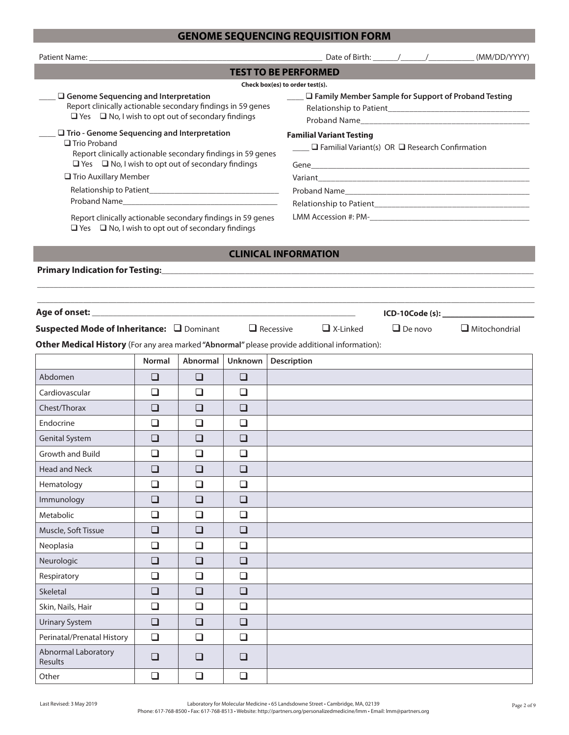# **GENOME SEQUENCING REQUISITION FORM**

| <b>TEST TO BE PERFORMED</b>                                                                                                                                                                                                                                                                                                                                          |               |          |         |                                                                                                   |  |  |
|----------------------------------------------------------------------------------------------------------------------------------------------------------------------------------------------------------------------------------------------------------------------------------------------------------------------------------------------------------------------|---------------|----------|---------|---------------------------------------------------------------------------------------------------|--|--|
| $\Box$ Genome Sequencing and Interpretation<br>Report clinically actionable secondary findings in 59 genes<br>$\Box$ Yes $\Box$ No, I wish to opt out of secondary findings                                                                                                                                                                                          |               |          |         | Check box(es) to order test(s).<br><u>■ ■ Family Member Sample for Support of Proband Testing</u> |  |  |
| $\Box$ Trio - Genome Sequencing and Interpretation<br>$\Box$ Trio Proband<br>Report clinically actionable secondary findings in 59 genes<br>$\Box$ Yes $\Box$ No, I wish to opt out of secondary findings<br>□ Trio Auxillary Member<br>Report clinically actionable secondary findings in 59 genes<br>$\Box$ Yes $\Box$ No, I wish to opt out of secondary findings |               |          |         | <b>Familial Variant Testing</b><br>$\Box$ Familial Variant(s) OR $\Box$ Research Confirmation     |  |  |
|                                                                                                                                                                                                                                                                                                                                                                      |               |          |         | <b>CLINICAL INFORMATION</b>                                                                       |  |  |
|                                                                                                                                                                                                                                                                                                                                                                      |               |          |         |                                                                                                   |  |  |
| and the control of the control of the control of the control of the control of the control of the control of the<br>$ICD-10Code(s):$<br>Suspected Mode of Inheritance: □ Dominant □ Recessive<br>$\Box$ X-Linked<br>$\Box$ De novo<br>$\Box$ Mitochondrial                                                                                                           |               |          |         |                                                                                                   |  |  |
|                                                                                                                                                                                                                                                                                                                                                                      |               |          |         | Other Medical History (For any area marked "Abnormal" please provide additional information):     |  |  |
|                                                                                                                                                                                                                                                                                                                                                                      | <b>Normal</b> | Abnormal | Unknown | Description                                                                                       |  |  |
| Abdomen                                                                                                                                                                                                                                                                                                                                                              | ❏             | ❏        | ❏       |                                                                                                   |  |  |
| Cardiovascular                                                                                                                                                                                                                                                                                                                                                       | □             | □        | ❏       |                                                                                                   |  |  |
| Chest/Thorax                                                                                                                                                                                                                                                                                                                                                         | $\Box$        | $\Box$   | $\Box$  |                                                                                                   |  |  |
| Endocrine                                                                                                                                                                                                                                                                                                                                                            | $\Box$        | □        | ◻       |                                                                                                   |  |  |
| <b>Genital System</b>                                                                                                                                                                                                                                                                                                                                                | ❏             | ❏        | ❏       |                                                                                                   |  |  |
| <b>Growth and Build</b>                                                                                                                                                                                                                                                                                                                                              | □             | $\Box$   | $\Box$  |                                                                                                   |  |  |
| <b>Head and Neck</b>                                                                                                                                                                                                                                                                                                                                                 | ❏             | $\Box$   | ❏       |                                                                                                   |  |  |
| Hematology                                                                                                                                                                                                                                                                                                                                                           | $\Box$        | $\Box$   | $\Box$  |                                                                                                   |  |  |
| Immunology                                                                                                                                                                                                                                                                                                                                                           | $\Box$        | $\Box$   | $\Box$  |                                                                                                   |  |  |
| Metabolic                                                                                                                                                                                                                                                                                                                                                            | $\Box$        | $\Box$   | $\Box$  |                                                                                                   |  |  |
| Muscle, Soft Tissue                                                                                                                                                                                                                                                                                                                                                  | $\Box$        | $\Box$   | $\Box$  |                                                                                                   |  |  |
| Neoplasia                                                                                                                                                                                                                                                                                                                                                            | $\Box$        | $\Box$   | $\Box$  |                                                                                                   |  |  |
| Neurologic                                                                                                                                                                                                                                                                                                                                                           | $\Box$        | $\Box$   | $\Box$  |                                                                                                   |  |  |
| Respiratory                                                                                                                                                                                                                                                                                                                                                          | $\Box$        | $\Box$   | $\Box$  |                                                                                                   |  |  |
| Skeletal                                                                                                                                                                                                                                                                                                                                                             | $\Box$        | $\Box$   | $\Box$  |                                                                                                   |  |  |
| Skin, Nails, Hair                                                                                                                                                                                                                                                                                                                                                    | $\Box$        | $\Box$   | $\Box$  |                                                                                                   |  |  |
| <b>Urinary System</b>                                                                                                                                                                                                                                                                                                                                                | $\Box$        | $\Box$   | $\Box$  |                                                                                                   |  |  |
| Perinatal/Prenatal History                                                                                                                                                                                                                                                                                                                                           | $\Box$        | $\Box$   | $\Box$  |                                                                                                   |  |  |
| Abnormal Laboratory<br>Results                                                                                                                                                                                                                                                                                                                                       | $\Box$        | $\Box$   | ❏       |                                                                                                   |  |  |
| Other                                                                                                                                                                                                                                                                                                                                                                | $\Box$        | $\Box$   | $\Box$  |                                                                                                   |  |  |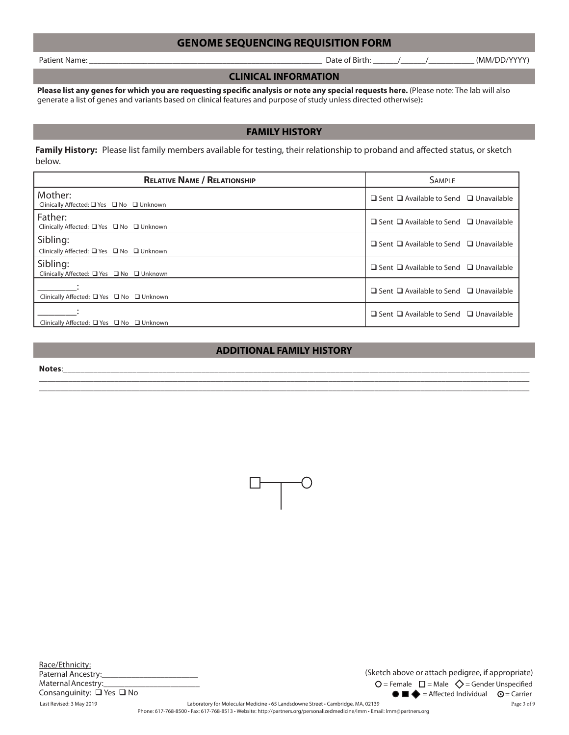### **GENOME SEQUENCING REQUISITION FORM**

Patient Name: \_\_\_\_\_\_\_\_\_\_\_\_\_\_\_\_\_\_\_\_\_\_\_\_\_\_\_\_\_\_\_\_\_\_\_\_\_\_\_\_\_\_\_\_\_\_\_\_\_\_\_\_\_\_\_\_ Date of Birth: \_\_\_\_\_\_/\_\_\_\_\_\_/\_\_\_\_\_\_\_\_\_\_\_ (MM/DD/YYYY)

#### **CLINICAL INFORMATION**

Please list any genes for which you are requesting specific analysis or note any special requests here. (Please note: The lab will also generate a list of genes and variants based on clinical features and purpose of study unless directed otherwise)**:**

#### **FAMILY HISTORY**

Family History: Please list family members available for testing, their relationship to proband and affected status, or sketch below.

| <b>RELATIVE NAME / RELATIONSHIP</b>                   | <b>SAMPLE</b>                                           |  |  |  |
|-------------------------------------------------------|---------------------------------------------------------|--|--|--|
| Mother:<br>Clinically Affected: □ Yes □ No □ Unknown  | $\Box$ Sent $\Box$ Available to Send $\Box$ Unavailable |  |  |  |
| Father:<br>Clinically Affected: □ Yes □ No □ Unknown  | $\Box$ Sent $\Box$ Available to Send $\Box$ Unavailable |  |  |  |
| Sibling:<br>Clinically Affected: □ Yes □ No □ Unknown | $\Box$ Sent $\Box$ Available to Send $\Box$ Unavailable |  |  |  |
| Sibling:<br>Clinically Affected: □ Yes □ No □ Unknown | $\Box$ Sent $\Box$ Available to Send $\Box$ Unavailable |  |  |  |
| Clinically Affected: □ Yes □ No □ Unknown             | $\Box$ Sent $\Box$ Available to Send $\Box$ Unavailable |  |  |  |
| Clinically Affected: □ Yes □ No □ Unknown             | $\Box$ Sent $\Box$ Available to Send $\Box$ Unavailable |  |  |  |

#### **ADDITIONAL FAMILY HISTORY**

 $\Box$  $\Box$ 

**Notes**:\_\_\_\_\_\_\_\_\_\_\_\_\_\_\_\_\_\_\_\_\_\_\_\_\_\_\_\_\_\_\_\_\_\_\_\_\_\_\_\_\_\_\_\_\_\_\_\_\_\_\_\_\_\_\_\_\_\_\_\_\_\_\_\_\_\_\_\_\_\_\_\_\_\_\_\_\_\_\_\_\_\_\_\_\_\_\_\_\_\_\_\_\_\_\_\_\_\_\_\_\_\_\_\_\_\_\_\_



 $\bullet$   $\blacksquare$   $\spadesuit$  = Affected Individual  $\heartsuit$  = Carrier  $O$  = Female  $\Box$  = Male  $\Diamond$  = Gender Unspecified (Sketch above or attach pedigree, if appropriate)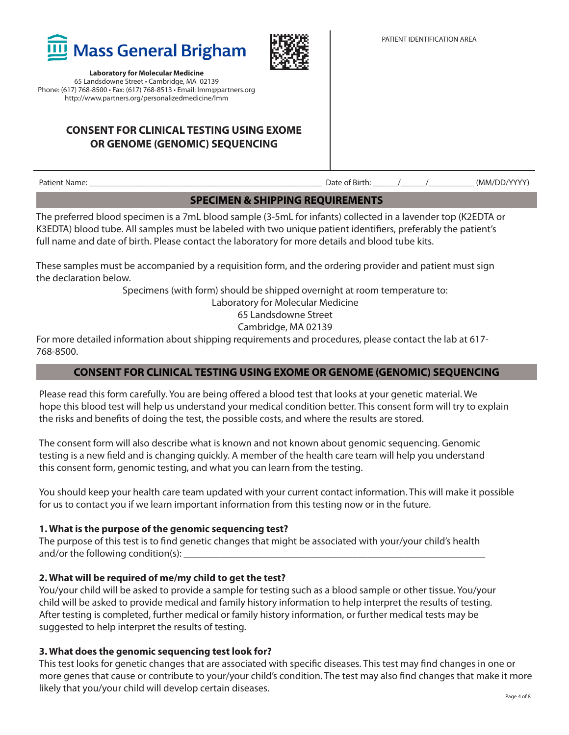

## **CONSENT FOR CLINICAL TESTING USING EXOME OR GENOME (GENOMIC) SEQUENCING**

Patient Name: \_\_\_\_\_\_\_\_\_\_\_\_\_\_\_\_\_\_\_\_\_\_\_\_\_\_\_\_\_\_\_\_\_\_\_\_\_\_\_\_\_\_\_\_\_\_\_\_\_\_\_\_\_\_\_\_ Date of Birth: \_\_\_\_\_\_/\_\_\_\_\_\_/\_\_\_\_\_\_\_\_\_\_\_ (MM/DD/YYYY)

**SPECIMEN & SHIPPING REQUIREMENTS**

The preferred blood specimen is a 7mL blood sample (3-5mL for infants) collected in a lavender top (K2EDTA or K3EDTA) blood tube. All samples must be labeled with two unique patient identifiers, preferably the patient's full name and date of birth. Please contact the laboratory for more details and blood tube kits.

These samples must be accompanied by a requisition form, and the ordering provider and patient must sign the declaration below.

Specimens (with form) should be shipped overnight at room temperature to:

Laboratory for Molecular Medicine

65 Landsdowne Street

Cambridge, MA 02139

For more detailed information about shipping requirements and procedures, please contact the lab at 617- 768-8500.

### **CONSENT FOR CLINICAL TESTING USING EXOME OR GENOME (GENOMIC) SEQUENCING**

Please read this form carefully. You are being offered a blood test that looks at your genetic material. We hope this blood test will help us understand your medical condition better. This consent form will try to explain the risks and benefits of doing the test, the possible costs, and where the results are stored.

The consent form will also describe what is known and not known about genomic sequencing. Genomic testing is a new field and is changing quickly. A member of the health care team will help you understand this consent form, genomic testing, and what you can learn from the testing.

You should keep your health care team updated with your current contact information. This will make it possible for us to contact you if we learn important information from this testing now or in the future.

#### **1. What is the purpose of the genomic sequencing test?**

The purpose of this test is to find genetic changes that might be associated with your/your child's health and/or the following condition(s): \_\_\_\_\_\_\_\_\_\_\_\_\_\_\_\_\_\_\_\_\_\_\_\_\_\_\_\_\_\_\_\_\_\_\_\_\_\_\_\_\_\_\_\_\_\_\_\_\_\_\_\_\_\_\_\_\_\_\_

#### **2. What will be required of me/my child to get the test?**

You/your child will be asked to provide a sample for testing such as a blood sample or other tissue. You/your child will be asked to provide medical and family history information to help interpret the results of testing. After testing is completed, further medical or family history information, or further medical tests may be suggested to help interpret the results of testing.

#### **3. What does the genomic sequencing test look for?**

This test looks for genetic changes that are associated with specific diseases. This test may find changes in one or more genes that cause or contribute to your/your child's condition. The test may also find changes that make it more likely that you/your child will develop certain diseases.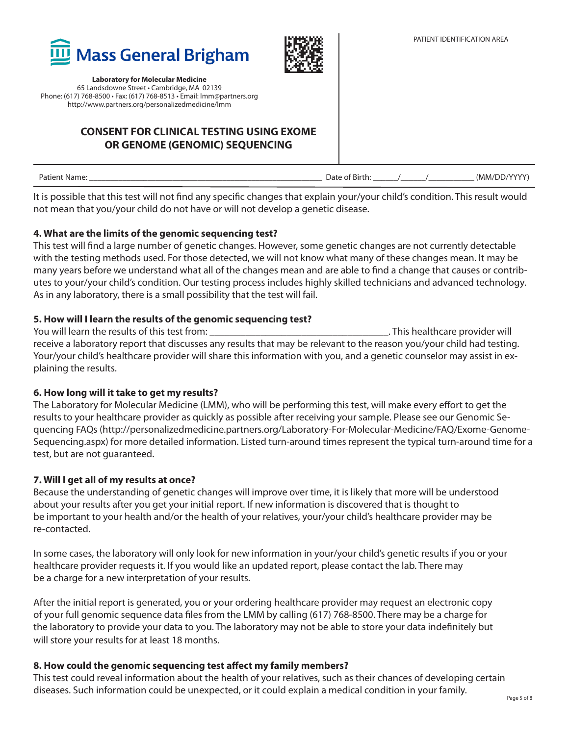



## **CONSENT FOR CLINICAL TESTING USING EXOME OR GENOME (GENOMIC) SEQUENCING**

| (MM/DD/YYYY)<br>Patient Name:<br>Date of Birth: |
|-------------------------------------------------|
|-------------------------------------------------|

It is possible that this test will not find any specific changes that explain your/your child's condition. This result would not mean that you/your child do not have or will not develop a genetic disease.

#### **4. What are the limits of the genomic sequencing test?**

This test will find a large number of genetic changes. However, some genetic changes are not currently detectable with the testing methods used. For those detected, we will not know what many of these changes mean. It may be many years before we understand what all of the changes mean and are able to find a change that causes or contributes to your/your child's condition. Our testing process includes highly skilled technicians and advanced technology. As in any laboratory, there is a small possibility that the test will fail.

### **5. How will I learn the results of the genomic sequencing test?**

You will learn the results of this test from: \_\_\_\_\_\_\_\_\_\_\_\_\_\_\_\_\_\_\_\_\_\_\_\_\_\_\_\_\_\_\_\_\_\_\_. This healthcare provider will receive a laboratory report that discusses any results that may be relevant to the reason you/your child had testing. Your/your child's healthcare provider will share this information with you, and a genetic counselor may assist in explaining the results.

#### **6. How long will it take to get my results?**

The Laboratory for Molecular Medicine (LMM), who will be performing this test, will make every effort to get the results to your healthcare provider as quickly as possible after receiving your sample. Please see our Genomic Sequencing FAQs (http://personalizedmedicine.partners.org/Laboratory-For-Molecular-Medicine/FAQ/Exome-Genome-Sequencing.aspx) for more detailed information. Listed turn-around times represent the typical turn-around time for a test, but are not guaranteed.

#### **7. Will I get all of my results at once?**

Because the understanding of genetic changes will improve over time, it is likely that more will be understood about your results after you get your initial report. If new information is discovered that is thought to be important to your health and/or the health of your relatives, your/your child's healthcare provider may be re-contacted.

In some cases, the laboratory will only look for new information in your/your child's genetic results if you or your healthcare provider requests it. If you would like an updated report, please contact the lab. There may be a charge for a new interpretation of your results.

After the initial report is generated, you or your ordering healthcare provider may request an electronic copy of your full genomic sequence data files from the LMM by calling (617) 768-8500. There may be a charge for the laboratory to provide your data to you. The laboratory may not be able to store your data indefinitely but will store your results for at least 18 months.

#### **8. How could the genomic sequencing test affect my family members?**

This test could reveal information about the health of your relatives, such as their chances of developing certain diseases. Such information could be unexpected, or it could explain a medical condition in your family.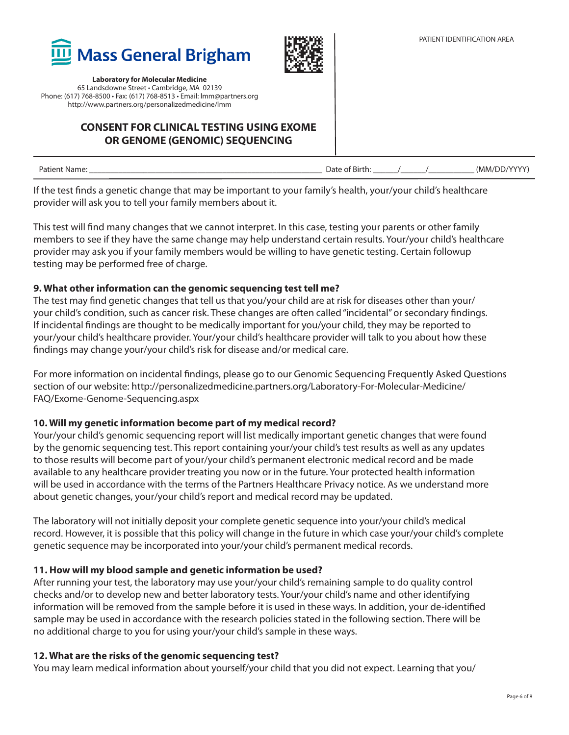

## **CONSENT FOR CLINICAL TESTING USING EXOME OR GENOME (GENOMIC) SEQUENCING**

| Patienu.<br>Nam<br>. | $\sim$<br>Jate<br>Birth:<br>. . |  | $\Lambda$ $\Lambda$ $\Lambda$ $\Lambda$<br>√MM∖<br>וחר |
|----------------------|---------------------------------|--|--------------------------------------------------------|
|                      |                                 |  |                                                        |

If the test finds a genetic change that may be important to your family's health, your/your child's healthcare provider will ask you to tell your family members about it.

This test will find many changes that we cannot interpret. In this case, testing your parents or other family members to see if they have the same change may help understand certain results. Your/your child's healthcare provider may ask you if your family members would be willing to have genetic testing. Certain followup testing may be performed free of charge.

### **9. What other information can the genomic sequencing test tell me?**

The test may find genetic changes that tell us that you/your child are at risk for diseases other than your/ your child's condition, such as cancer risk. These changes are often called "incidental" or secondary findings. If incidental findings are thought to be medically important for you/your child, they may be reported to your/your child's healthcare provider. Your/your child's healthcare provider will talk to you about how these findings may change your/your child's risk for disease and/or medical care.

For more information on incidental findings, please go to our Genomic Sequencing Frequently Asked Questions section of our website: http://personalizedmedicine.partners.org/Laboratory-For-Molecular-Medicine/ FAQ/Exome-Genome-Sequencing.aspx

### **10. Will my genetic information become part of my medical record?**

Your/your child's genomic sequencing report will list medically important genetic changes that were found by the genomic sequencing test. This report containing your/your child's test results as well as any updates to those results will become part of your/your child's permanent electronic medical record and be made available to any healthcare provider treating you now or in the future. Your protected health information will be used in accordance with the terms of the Partners Healthcare Privacy notice. As we understand more about genetic changes, your/your child's report and medical record may be updated.

The laboratory will not initially deposit your complete genetic sequence into your/your child's medical record. However, it is possible that this policy will change in the future in which case your/your child's complete genetic sequence may be incorporated into your/your child's permanent medical records.

#### **11. How will my blood sample and genetic information be used?**

After running your test, the laboratory may use your/your child's remaining sample to do quality control checks and/or to develop new and better laboratory tests. Your/your child's name and other identifying information will be removed from the sample before it is used in these ways. In addition, your de-identified sample may be used in accordance with the research policies stated in the following section. There will be no additional charge to you for using your/your child's sample in these ways.

#### **12. What are the risks of the genomic sequencing test?**

You may learn medical information about yourself/your child that you did not expect. Learning that you/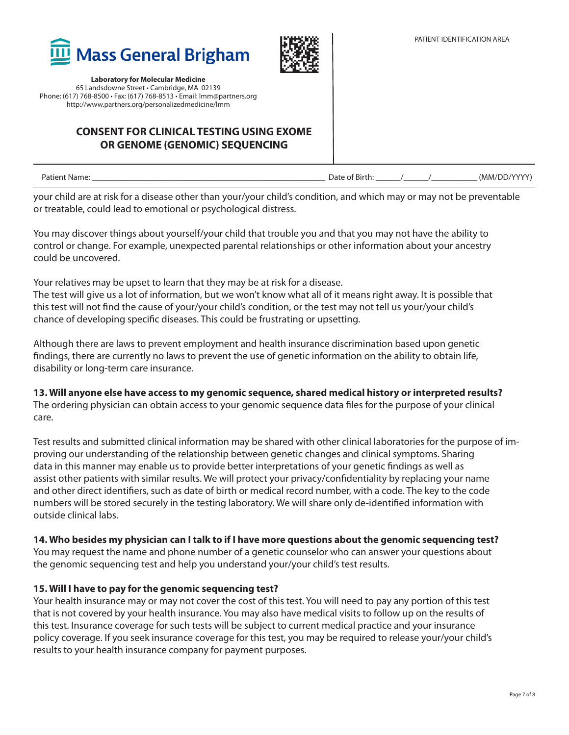

## **CONSENT FOR CLINICAL TESTING USING EXOME OR GENOME (GENOMIC) SEQUENCING**

| . .<br>ame <sup>.</sup><br>Pault<br>⊶וי | . J di<br>.<br>. | $\cdots$<br>$\overline{\mathbf{1}}$<br>'NANAZ |
|-----------------------------------------|------------------|-----------------------------------------------|
|                                         |                  |                                               |

your child are at risk for a disease other than your/your child's condition, and which may or may not be preventable or treatable, could lead to emotional or psychological distress.

You may discover things about yourself/your child that trouble you and that you may not have the ability to control or change. For example, unexpected parental relationships or other information about your ancestry could be uncovered.

Your relatives may be upset to learn that they may be at risk for a disease.

The test will give us a lot of information, but we won't know what all of it means right away. It is possible that this test will not find the cause of your/your child's condition, or the test may not tell us your/your child's chance of developing specific diseases. This could be frustrating or upsetting.

Although there are laws to prevent employment and health insurance discrimination based upon genetic findings, there are currently no laws to prevent the use of genetic information on the ability to obtain life, disability or long-term care insurance.

### **13. Will anyone else have access to my genomic sequence, shared medical history or interpreted results?**

The ordering physician can obtain access to your genomic sequence data files for the purpose of your clinical care.

Test results and submitted clinical information may be shared with other clinical laboratories for the purpose of improving our understanding of the relationship between genetic changes and clinical symptoms. Sharing data in this manner may enable us to provide better interpretations of your genetic findings as well as assist other patients with similar results. We will protect your privacy/confidentiality by replacing your name and other direct identifiers, such as date of birth or medical record number, with a code. The key to the code numbers will be stored securely in the testing laboratory. We will share only de-identified information with outside clinical labs.

#### **14. Who besides my physician can I talk to if I have more questions about the genomic sequencing test?**

You may request the name and phone number of a genetic counselor who can answer your questions about the genomic sequencing test and help you understand your/your child's test results.

#### **15. Will I have to pay for the genomic sequencing test?**

Your health insurance may or may not cover the cost of this test. You will need to pay any portion of this test that is not covered by your health insurance. You may also have medical visits to follow up on the results of this test. Insurance coverage for such tests will be subject to current medical practice and your insurance policy coverage. If you seek insurance coverage for this test, you may be required to release your/your child's results to your health insurance company for payment purposes.